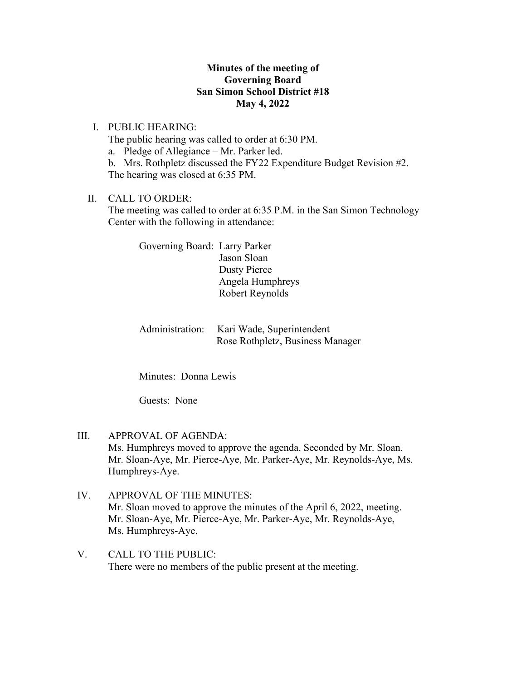## **Minutes of the meeting of Governing Board San Simon School District #18 May 4, 2022**

I. PUBLIC HEARING:

The public hearing was called to order at 6:30 PM.

a. Pledge of Allegiance – Mr. Parker led.

b. Mrs. Rothpletz discussed the FY22 Expenditure Budget Revision #2. The hearing was closed at 6:35 PM.

#### II. CALL TO ORDER:

The meeting was called to order at 6:35 P.M. in the San Simon Technology Center with the following in attendance:

Governing Board: Larry Parker Jason Sloan Dusty Pierce Angela Humphreys Robert Reynolds

Administration: Kari Wade, Superintendent Rose Rothpletz, Business Manager

Minutes: Donna Lewis

Guests: None

- III. APPROVAL OF AGENDA: Ms. Humphreys moved to approve the agenda. Seconded by Mr. Sloan. Mr. Sloan-Aye, Mr. Pierce-Aye, Mr. Parker-Aye, Mr. Reynolds-Aye, Ms. Humphreys-Aye.
- IV. APPROVAL OF THE MINUTES: Mr. Sloan moved to approve the minutes of the April 6, 2022, meeting. Mr. Sloan-Aye, Mr. Pierce-Aye, Mr. Parker-Aye, Mr. Reynolds-Aye, Ms. Humphreys-Aye.
- V. CALL TO THE PUBLIC: There were no members of the public present at the meeting.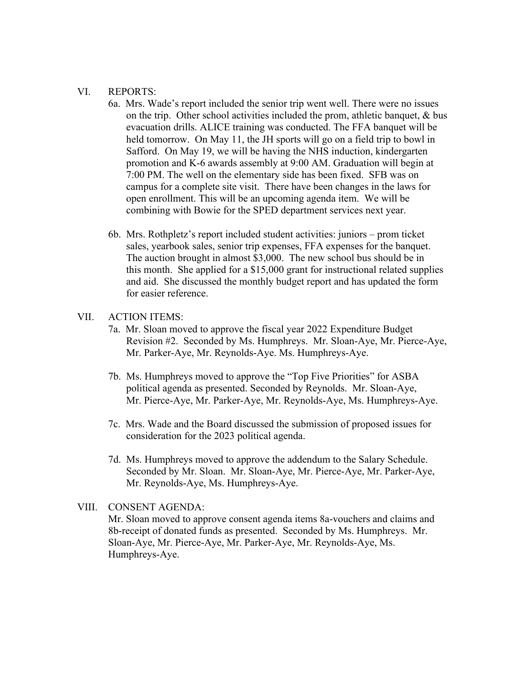#### VI. REPORTS:

- 6a. Mrs. Wade's report included the senior trip went well. There were no issues on the trip. Other school activities included the prom, athletic banquet, & bus evacuation drills. ALICE training was conducted. The FFA banquet will be held tomorrow. On May 11, the JH sports will go on a field trip to bowl in Safford. On May 19, we will be having the NHS induction, kindergarten promotion and K-6 awards assembly at 9:00 AM. Graduation will begin at 7:00 PM. The well on the elementary side has been fixed. SFB was on campus for a complete site visit. There have been changes in the laws for open enrollment. This will be an upcoming agenda item. We will be combining with Bowie for the SPED department services next year.
- 6b. Mrs. Rothpletz's report included student activities: juniors prom ticket sales, yearbook sales, senior trip expenses, FFA expenses for the banquet. The auction brought in almost \$3,000. The new school bus should be in this month. She applied for a \$15,000 grant for instructional related supplies and aid. She discussed the monthly budget report and has updated the form for easier reference.

## VII. ACTION ITEMS:

- 7a. Mr. Sloan moved to approve the fiscal year 2022 Expenditure Budget Revision #2. Seconded by Ms. Humphreys. Mr. Sloan-Aye, Mr. Pierce-Aye, Mr. Parker-Aye, Mr. Reynolds-Aye. Ms. Humphreys-Aye.
- 7b. Ms. Humphreys moved to approve the "Top Five Priorities" for ASBA political agenda as presented. Seconded by Reynolds. Mr. Sloan-Aye, Mr. Pierce-Aye, Mr. Parker-Aye, Mr. Reynolds-Aye, Ms. Humphreys-Aye.
- 7c. Mrs. Wade and the Board discussed the submission of proposed issues for consideration for the 2023 political agenda.
- 7d. Ms. Humphreys moved to approve the addendum to the Salary Schedule. Seconded by Mr. Sloan. Mr. Sloan-Aye, Mr. Pierce-Aye, Mr. Parker-Aye, Mr. Reynolds-Aye, Ms. Humphreys-Aye.

# VIII. CONSENT AGENDA: Mr. Sloan moved to approve consent agenda items 8a-vouchers and claims and 8b-receipt of donated funds as presented. Seconded by Ms. Humphreys. Mr. Sloan-Aye, Mr. Pierce-Aye, Mr. Parker-Aye, Mr. Reynolds-Aye, Ms. Humphreys-Aye.